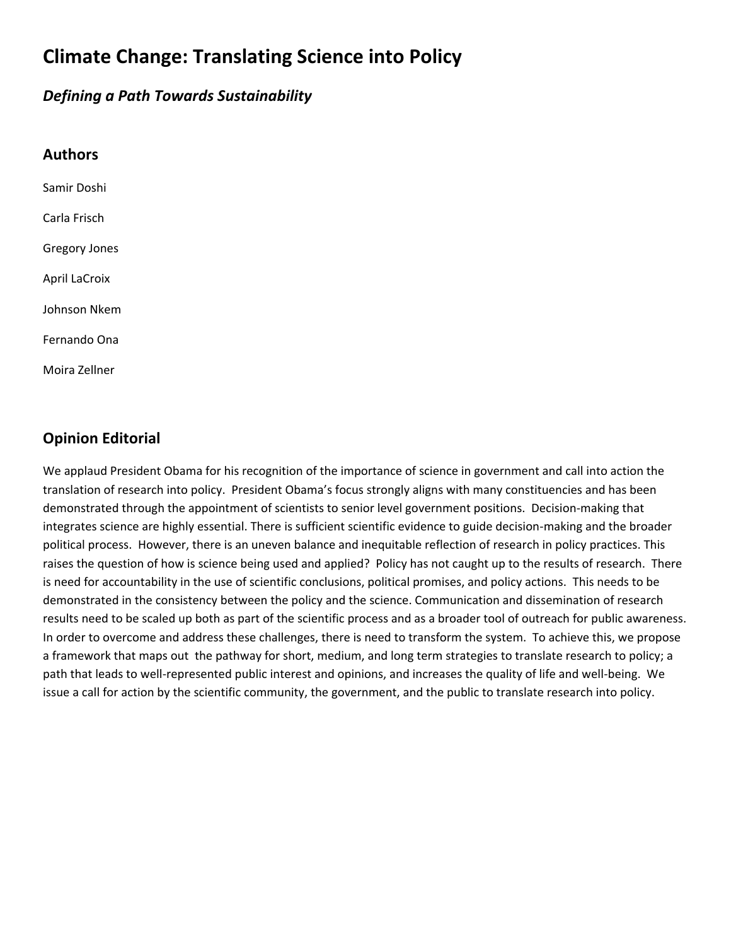# **Climate Change: Translating Science into Policy**

#### *Defining a Path Towards Sustainability*

| <b>Authors</b>       |
|----------------------|
| Samir Doshi          |
| Carla Frisch         |
| <b>Gregory Jones</b> |
| <b>April LaCroix</b> |
| Johnson Nkem         |
| Fernando Ona         |
| Moira Zellner        |

#### **Opinion Editorial**

We applaud President Obama for his recognition of the importance of science in government and call into action the translation of research into policy. President Obama's focus strongly aligns with many constituencies and has been demonstrated through the appointment of scientists to senior level government positions. Decision‐making that integrates science are highly essential. There is sufficient scientific evidence to guide decision-making and the broader political process. However, there is an uneven balance and inequitable reflection of research in policy practices. This raises the question of how is science being used and applied? Policy has not caught up to the results of research. There is need for accountability in the use of scientific conclusions, political promises, and policy actions. This needs to be demonstrated in the consistency between the policy and the science. Communication and dissemination of research results need to be scaled up both as part of the scientific process and as a broader tool of outreach for public awareness. In order to overcome and address these challenges, there is need to transform the system. To achieve this, we propose a framework that maps out the pathway for short, medium, and long term strategies to translate research to policy; a path that leads to well-represented public interest and opinions, and increases the quality of life and well-being. We issue a call for action by the scientific community, the government, and the public to translate research into policy.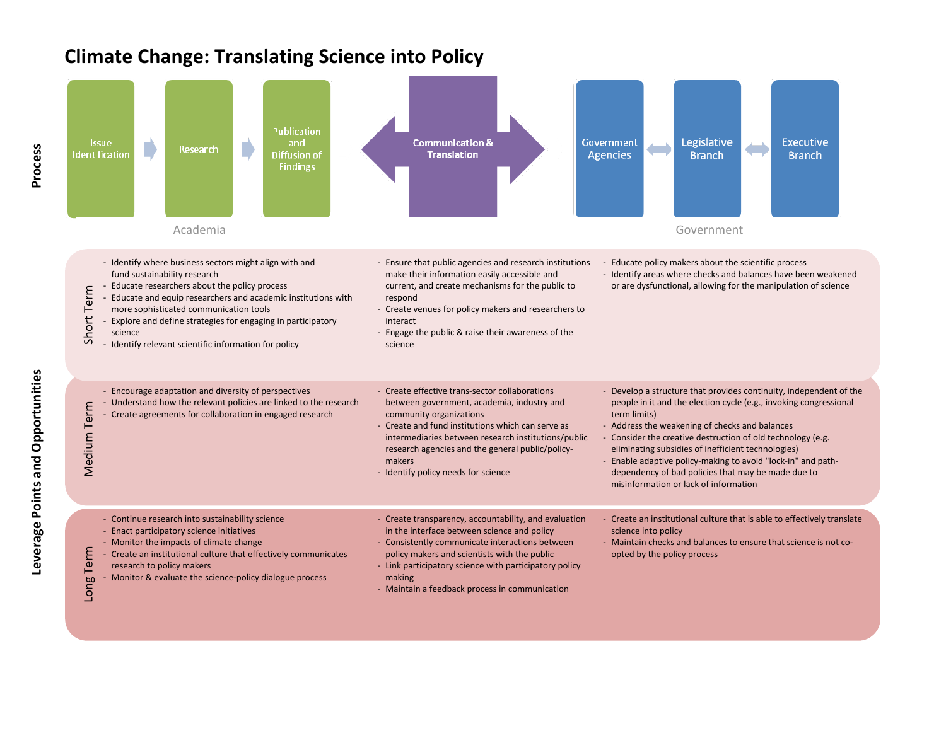### **Climate Change: Translating Science into Policy**